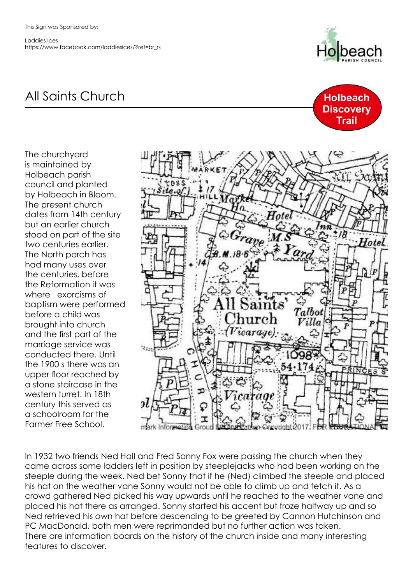Laddies Ices https://www.facebook.com/laddiesices/?ref=br\_rs



**Holbeach Discovery Trail** 

## All Saints Church

The churchyard is maintained by Holbeach parish council and planted by Holbeach in Bloom. The present church dates from 14th century but an earlier church stood on part of the site two centuries earlier. The North porch has had many uses over the centuries, before the Reformation it was where exorcisms of baptism were performed before a child was brought into church and the first part of the marriage service was conducted there. Until the 1900 s there was an upper floor reached by a stone staircase in the western turret. In 18th century this served as a schoolroom for the Farmer Free School.



In 1932 two friends Ned Hall and Fred Sonny Fox were passing the church when they came across some ladders left in position by steeplejacks who had been working on the steeple during the week. Ned bet Sonny that if he (Ned) climbed the steeple and placed his hat on the weather vane Sonny would not be able to climb up and fetch it. As a crowd gathered Ned picked his way upwards until he reached to the weather vane and placed his hat there as arranged. Sonny started his accent but froze halfway up and so Ned retrieved his own hat before descending to be greeted by Cannon Hutchinson and PC MacDonald, both men were reprimanded but no further action was taken. There are information boards on the history of the church inside and many interesting features to discover.